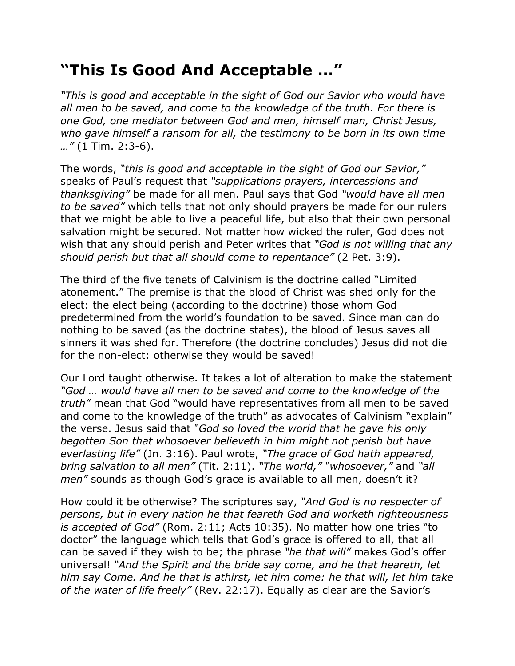## **"This Is Good And Acceptable …"**

*"This is good and acceptable in the sight of God our Savior who would have all men to be saved, and come to the knowledge of the truth. For there is one God, one mediator between God and men, himself man, Christ Jesus, who gave himself a ransom for all, the testimony to be born in its own time …"* (1 Tim. 2:3-6).

The words, *"this is good and acceptable in the sight of God our Savior,"* speaks of Paul's request that *"supplications prayers, intercessions and thanksgiving"* be made for all men. Paul says that God *"would have all men to be saved"* which tells that not only should prayers be made for our rulers that we might be able to live a peaceful life, but also that their own personal salvation might be secured. Not matter how wicked the ruler, God does not wish that any should perish and Peter writes that *"God is not willing that any should perish but that all should come to repentance"* (2 Pet. 3:9).

The third of the five tenets of Calvinism is the doctrine called "Limited atonement." The premise is that the blood of Christ was shed only for the elect: the elect being (according to the doctrine) those whom God predetermined from the world's foundation to be saved. Since man can do nothing to be saved (as the doctrine states), the blood of Jesus saves all sinners it was shed for. Therefore (the doctrine concludes) Jesus did not die for the non-elect: otherwise they would be saved!

Our Lord taught otherwise. It takes a lot of alteration to make the statement *"God … would have all men to be saved and come to the knowledge of the truth"* mean that God "would have representatives from all men to be saved and come to the knowledge of the truth" as advocates of Calvinism "explain" the verse. Jesus said that *"God so loved the world that he gave his only begotten Son that whosoever believeth in him might not perish but have everlasting life"* (Jn. 3:16). Paul wrote, *"The grace of God hath appeared, bring salvation to all men"* (Tit. 2:11). *"The world," "whosoever,"* and *"all men"* sounds as though God's grace is available to all men, doesn't it?

How could it be otherwise? The scriptures say, *"And God is no respecter of persons, but in every nation he that feareth God and worketh righteousness is accepted of God"* (Rom. 2:11; Acts 10:35). No matter how one tries "to doctor" the language which tells that God's grace is offered to all, that all can be saved if they wish to be; the phrase *"he that will"* makes God's offer universal! *"And the Spirit and the bride say come, and he that heareth, let him say Come. And he that is athirst, let him come: he that will, let him take of the water of life freely"* (Rev. 22:17). Equally as clear are the Savior's